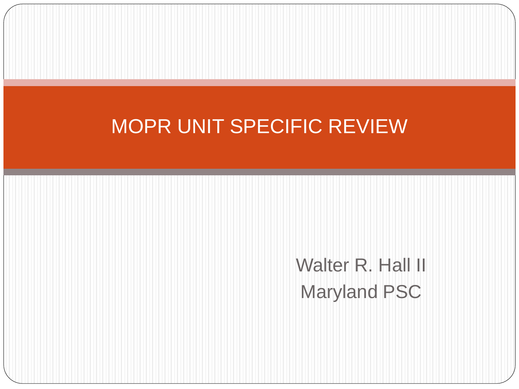## MOPR UNIT SPECIFIC REVIEW

Walter R. Hall II Maryland PSC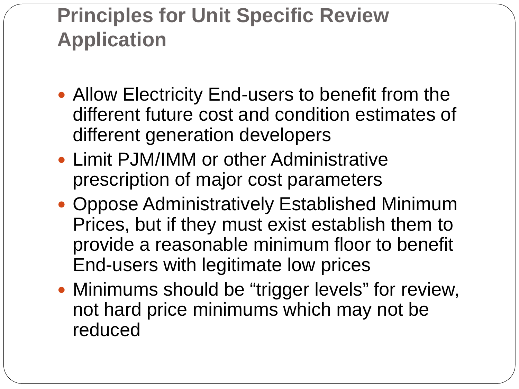## **Principles for Unit Specific Review Application**

- Allow Electricity End-users to benefit from the different future cost and condition estimates of different generation developers
- Limit PJM/IMM or other Administrative prescription of major cost parameters
- Oppose Administratively Established Minimum Prices, but if they must exist establish them to provide a reasonable minimum floor to benefit End-users with legitimate low prices
- Minimums should be "trigger levels" for review, not hard price minimums which may not be reduced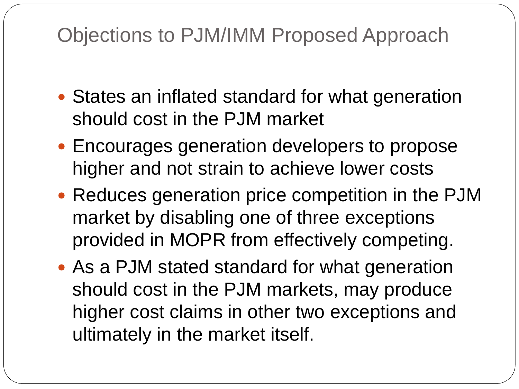## Objections to PJM/IMM Proposed Approach

- States an inflated standard for what generation should cost in the PJM market
- Encourages generation developers to propose higher and not strain to achieve lower costs
- Reduces generation price competition in the PJM market by disabling one of three exceptions provided in MOPR from effectively competing.
- As a PJM stated standard for what generation should cost in the PJM markets, may produce higher cost claims in other two exceptions and ultimately in the market itself.